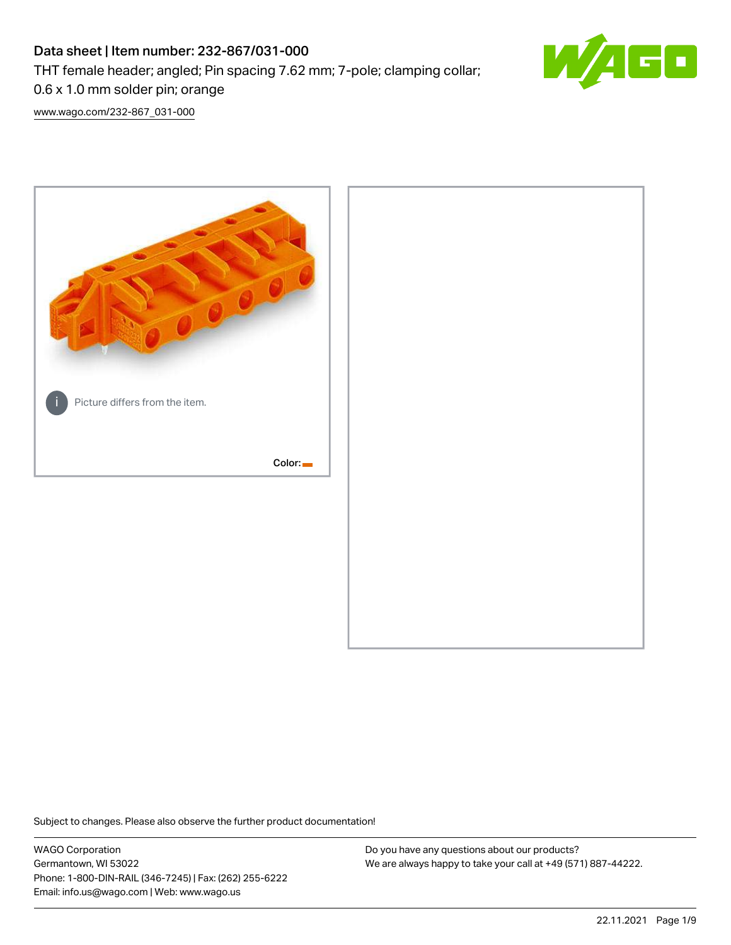# Data sheet | Item number: 232-867/031-000

THT female header; angled; Pin spacing 7.62 mm; 7-pole; clamping collar;



0.6 x 1.0 mm solder pin; orange

[www.wago.com/232-867\\_031-000](http://www.wago.com/232-867_031-000)



Subject to changes. Please also observe the further product documentation!

WAGO Corporation Germantown, WI 53022 Phone: 1-800-DIN-RAIL (346-7245) | Fax: (262) 255-6222 Email: info.us@wago.com | Web: www.wago.us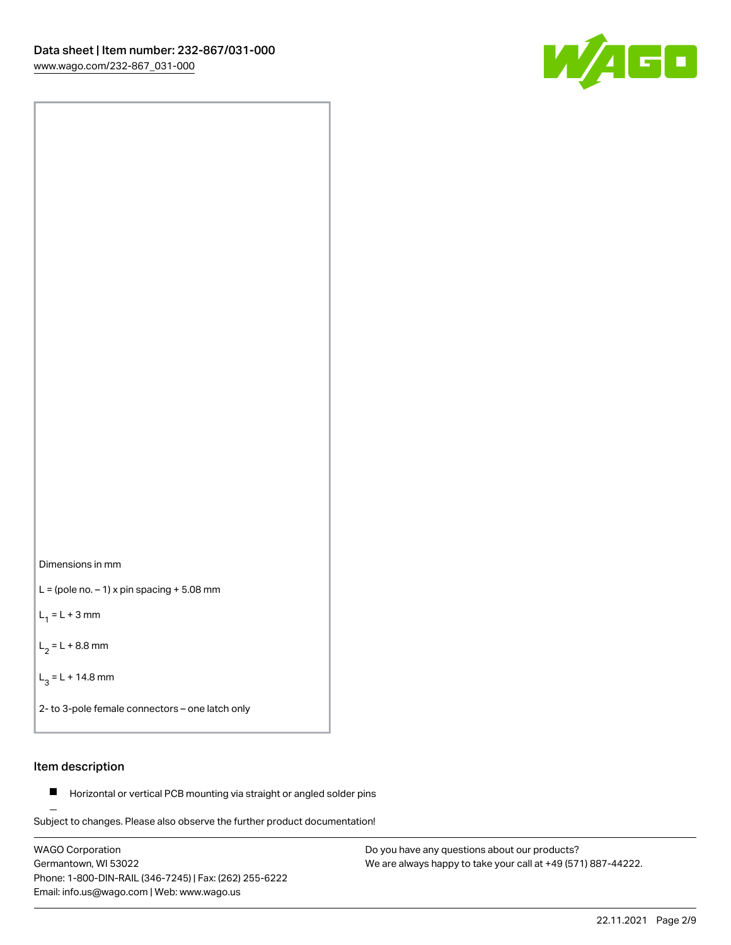



 $L =$  (pole no.  $-1$ ) x pin spacing  $+5.08$  mm

 $L_1 = L + 3$  mm

 $L_2 = L + 8.8$  mm

 $L_3 = L + 14.8$  mm

2- to 3-pole female connectors – one latch only

## Item description

**Horizontal or vertical PCB mounting via straight or angled solder pins** 

Subject to changes. Please also observe the further product documentation! For board-to-board and board-to-wire connections

WAGO Corporation Germantown, WI 53022 Phone: 1-800-DIN-RAIL (346-7245) | Fax: (262) 255-6222 Email: info.us@wago.com | Web: www.wago.us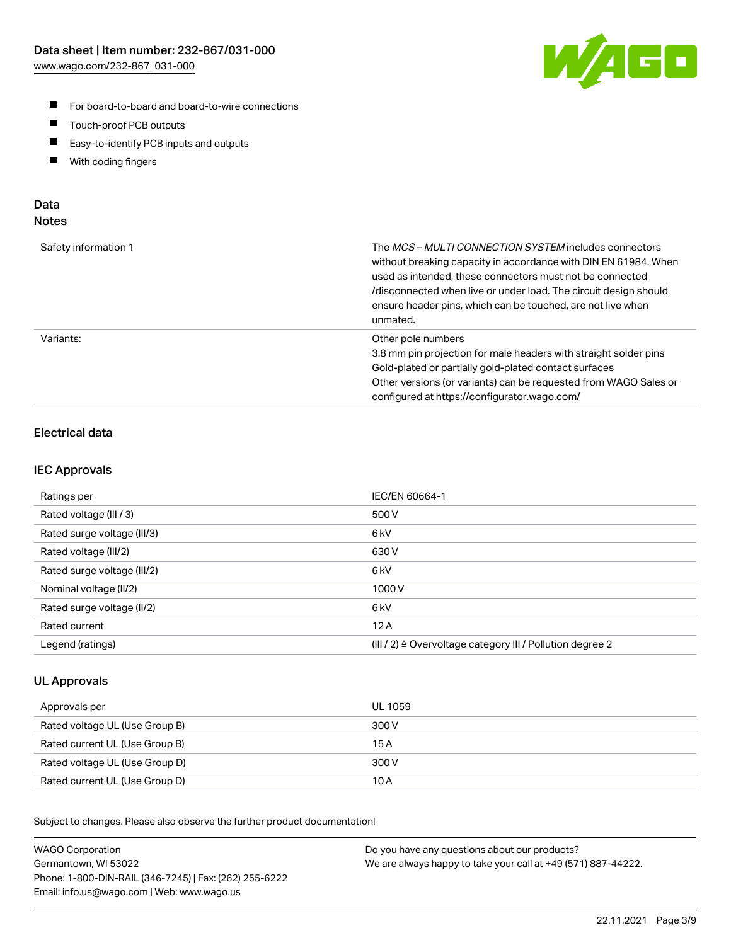

- For board-to-board and board-to-wire connections
- $\blacksquare$ Touch-proof PCB outputs
- $\blacksquare$ Easy-to-identify PCB inputs and outputs
- $\blacksquare$ With coding fingers

## Data **Notes**

| Safety information 1 | The <i>MCS – MULTI CONNECTION SYSTEM</i> includes connectors<br>without breaking capacity in accordance with DIN EN 61984. When<br>used as intended, these connectors must not be connected<br>/disconnected when live or under load. The circuit design should<br>ensure header pins, which can be touched, are not live when<br>unmated. |
|----------------------|--------------------------------------------------------------------------------------------------------------------------------------------------------------------------------------------------------------------------------------------------------------------------------------------------------------------------------------------|
| Variants:            | Other pole numbers<br>3.8 mm pin projection for male headers with straight solder pins<br>Gold-plated or partially gold-plated contact surfaces<br>Other versions (or variants) can be requested from WAGO Sales or<br>configured at https://configurator.wago.com/                                                                        |

## Electrical data

## IEC Approvals

| Ratings per                 | IEC/EN 60664-1                                                        |
|-----------------------------|-----------------------------------------------------------------------|
| Rated voltage (III / 3)     | 500 V                                                                 |
| Rated surge voltage (III/3) | 6kV                                                                   |
| Rated voltage (III/2)       | 630 V                                                                 |
| Rated surge voltage (III/2) | 6 <sub>kV</sub>                                                       |
| Nominal voltage (II/2)      | 1000 V                                                                |
| Rated surge voltage (II/2)  | 6 <sub>kV</sub>                                                       |
| Rated current               | 12A                                                                   |
| Legend (ratings)            | $(III / 2)$ $\triangle$ Overvoltage category III / Pollution degree 2 |

## UL Approvals

| Approvals per                  | UL 1059 |
|--------------------------------|---------|
| Rated voltage UL (Use Group B) | 300 V   |
| Rated current UL (Use Group B) | 15 A    |
| Rated voltage UL (Use Group D) | 300 V   |
| Rated current UL (Use Group D) | 10 A    |

Subject to changes. Please also observe the further product documentation!

| <b>WAGO Corporation</b>                                | Do you have any questions about our products?                 |
|--------------------------------------------------------|---------------------------------------------------------------|
| Germantown, WI 53022                                   | We are always happy to take your call at +49 (571) 887-44222. |
| Phone: 1-800-DIN-RAIL (346-7245)   Fax: (262) 255-6222 |                                                               |
| Email: info.us@wago.com   Web: www.wago.us             |                                                               |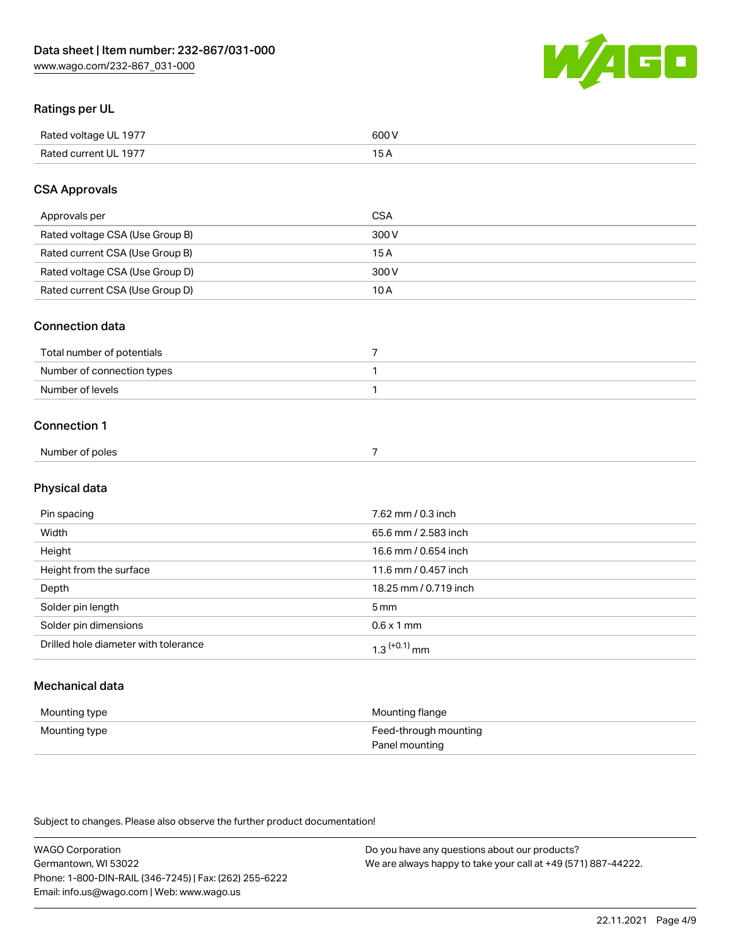

## Ratings per UL

| Rated voltage UL 1977  | coo 1 |
|------------------------|-------|
| <b>Rate</b><br>III 197 | ັ     |

## CSA Approvals

| Approvals per                   | CSA   |
|---------------------------------|-------|
| Rated voltage CSA (Use Group B) | 300 V |
| Rated current CSA (Use Group B) | 15 A  |
| Rated voltage CSA (Use Group D) | 300 V |
| Rated current CSA (Use Group D) | 10 A  |

### Connection data

| Total number of potentials |  |
|----------------------------|--|
| Number of connection types |  |
| Number of levels           |  |

### Connection 1

| Number of poles |  |
|-----------------|--|
|                 |  |

## Physical data

| Pin spacing                          | 7.62 mm / 0.3 inch    |
|--------------------------------------|-----------------------|
| Width                                | 65.6 mm / 2.583 inch  |
| Height                               | 16.6 mm / 0.654 inch  |
| Height from the surface              | 11.6 mm / 0.457 inch  |
| Depth                                | 18.25 mm / 0.719 inch |
| Solder pin length                    | 5 <sub>mm</sub>       |
| Solder pin dimensions                | $0.6 \times 1$ mm     |
| Drilled hole diameter with tolerance | $1.3$ $(+0.1)$ mm     |

## Mechanical data

| Mounting type | Mounting flange                         |
|---------------|-----------------------------------------|
| Mounting type | Feed-through mounting<br>Panel mounting |

Subject to changes. Please also observe the further product documentation!

| <b>WAGO Corporation</b>                                | Do you have any questions about our products?                 |
|--------------------------------------------------------|---------------------------------------------------------------|
| Germantown, WI 53022                                   | We are always happy to take your call at +49 (571) 887-44222. |
| Phone: 1-800-DIN-RAIL (346-7245)   Fax: (262) 255-6222 |                                                               |
| Email: info.us@wago.com   Web: www.wago.us             |                                                               |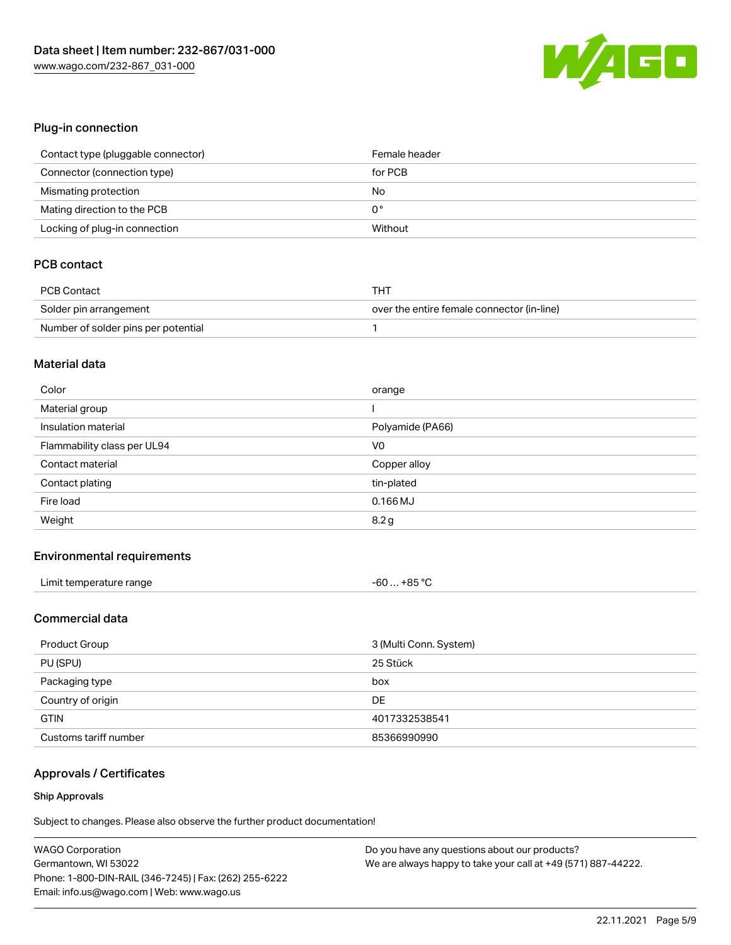

## Plug-in connection

| Contact type (pluggable connector) | Female header |
|------------------------------------|---------------|
| Connector (connection type)        | for PCB       |
| Mismating protection               | No            |
| Mating direction to the PCB        | 0°            |
| Locking of plug-in connection      | Without       |

## PCB contact

| PCB Contact                         | THT                                        |
|-------------------------------------|--------------------------------------------|
| Solder pin arrangement              | over the entire female connector (in-line) |
| Number of solder pins per potential |                                            |

### Material data

| Color                       | orange           |
|-----------------------------|------------------|
| Material group              |                  |
| Insulation material         | Polyamide (PA66) |
| Flammability class per UL94 | V <sub>0</sub>   |
| Contact material            | Copper alloy     |
| Contact plating             | tin-plated       |
| Fire load                   | $0.166$ MJ       |
| Weight                      | 8.2 g            |

### Environmental requirements

| Limit temperature range | +85 °C<br>-60 |
|-------------------------|---------------|
|-------------------------|---------------|

## Commercial data

| Product Group         | 3 (Multi Conn. System) |
|-----------------------|------------------------|
| PU (SPU)              | 25 Stück               |
| Packaging type        | box                    |
| Country of origin     | DE                     |
| <b>GTIN</b>           | 4017332538541          |
| Customs tariff number | 85366990990            |

## Approvals / Certificates

### Ship Approvals

Subject to changes. Please also observe the further product documentation!

| <b>WAGO Corporation</b>                                | Do you have any questions about our products?                 |
|--------------------------------------------------------|---------------------------------------------------------------|
| Germantown, WI 53022                                   | We are always happy to take your call at +49 (571) 887-44222. |
| Phone: 1-800-DIN-RAIL (346-7245)   Fax: (262) 255-6222 |                                                               |
| Email: info.us@wago.com   Web: www.wago.us             |                                                               |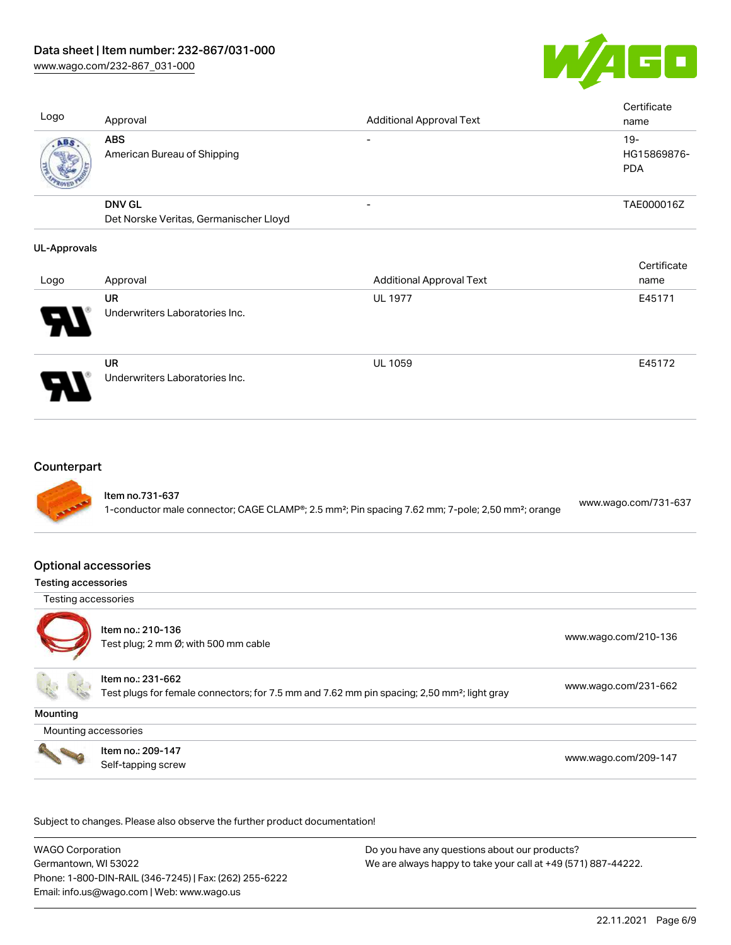[www.wago.com/232-867\\_031-000](http://www.wago.com/232-867_031-000)



Cortificate

| Logo | Approval                                                | <b>Additional Approval Text</b> | Certificate<br>name                |
|------|---------------------------------------------------------|---------------------------------|------------------------------------|
| ABS  | <b>ABS</b><br>American Bureau of Shipping               |                                 | $19-$<br>HG15869876-<br><b>PDA</b> |
|      | <b>DNV GL</b><br>Det Norske Veritas, Germanischer Lloyd |                                 | TAE000016Z                         |
|      |                                                         |                                 |                                    |

#### UL-Approvals

|                       |                                             |                                 | <b>Celullcate</b> |
|-----------------------|---------------------------------------------|---------------------------------|-------------------|
| Logo                  | Approval                                    | <b>Additional Approval Text</b> | name              |
|                       | UR                                          | <b>UL 1977</b>                  | E45171            |
| $\boldsymbol{\theta}$ | Underwriters Laboratories Inc.              |                                 |                   |
| 8                     | <b>UR</b><br>Underwriters Laboratories Inc. | <b>UL 1059</b>                  | E45172            |

### **Counterpart**



### Optional accessories

### Testing accessories

Testing accessories



Item no.: 210-136 Test plug; 2 nm Ø; with 500 mm cable [www.wago.com/210-136](http://www.wago.com/210-136)

Item no.: 231-662 Test plugs for female connectors; for 7.5 mm and 7.62 mm pin spacing; 2,50 mm²; light gray [www.wago.com/231-662](http://www.wago.com/231-662)

**Mounting** 

Mounting accessories



Item no.: 209-147 Next Trefficient Control 2001 147<br>Self-tapping screw [www.wago.com/209-147](http://www.wago.com/209-147)

Subject to changes. Please also observe the further product documentation!

WAGO Corporation Germantown, WI 53022 Phone: 1-800-DIN-RAIL (346-7245) | Fax: (262) 255-6222 Email: info.us@wago.com | Web: www.wago.us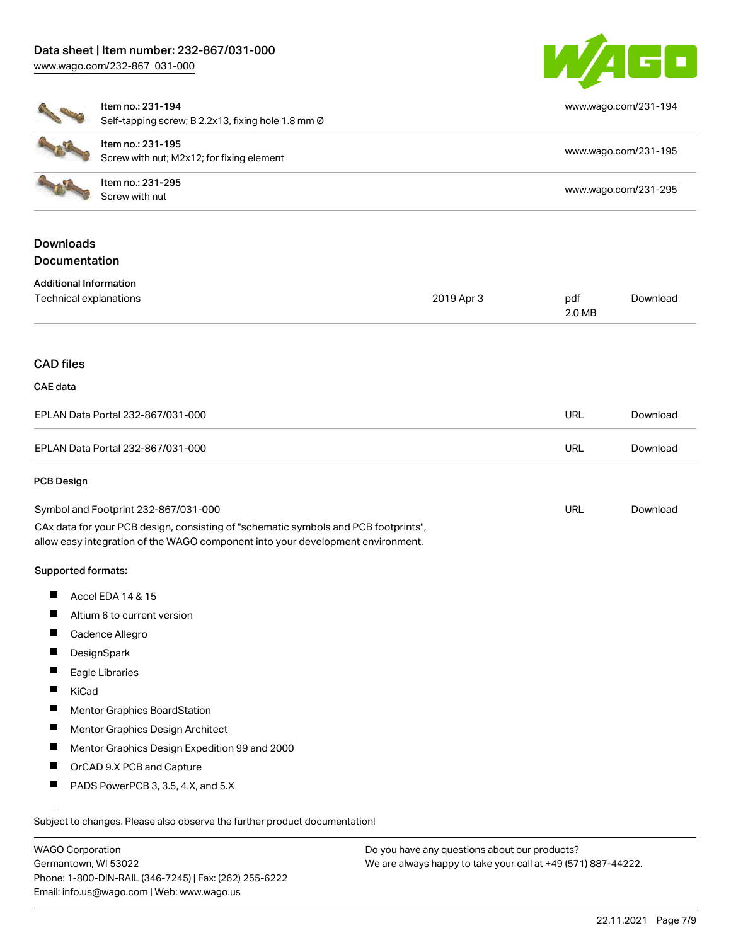## Data sheet | Item number: 232-867/031-000 [www.wago.com/232-867\\_031-000](http://www.wago.com/232-867_031-000)



[www.wago.com/231-194](http://www.wago.com/231-194)

### Item no.: 231-194

Self-tapping screw; B 2.2x13, fixing hole 1.8 mm Ø

| Item no.: 231-195<br>Screw with nut; M2x12; for fixing element | www.wago.com/231-195 |
|----------------------------------------------------------------|----------------------|
| Item no.: 231-295<br>Screw with nut                            | www.wago.com/231-295 |

## Downloads **Documentation**

| <b>Additional Information</b> |
|-------------------------------|
|                               |

| Technical explanations            | 2019 Apr 3 | pdf        | Download |
|-----------------------------------|------------|------------|----------|
|                                   |            | 2.0 MB     |          |
|                                   |            |            |          |
| <b>CAD files</b>                  |            |            |          |
| <b>CAE</b> data                   |            |            |          |
| EPLAN Data Portal 232-867/031-000 |            | <b>URL</b> | Download |
| EPLAN Data Portal 232-867/031-000 |            | <b>URL</b> | Download |

#### PCB Design

| Symbol and Footprint 232-867/031-000                                                | URL | Download |
|-------------------------------------------------------------------------------------|-----|----------|
| CAx data for your PCB design, consisting of "schematic symbols and PCB footprints", |     |          |
| allow easy integration of the WAGO component into your development environment.     |     |          |

### Supported formats:

- П Accel EDA 14 & 15
- Altium 6 to current version П
- $\blacksquare$ Cadence Allegro
- **DesignSpark**  $\blacksquare$
- $\blacksquare$ Eagle Libraries
- $\blacksquare$ KiCad
- $\blacksquare$ Mentor Graphics BoardStation
- $\blacksquare$ Mentor Graphics Design Architect
- $\blacksquare$ Mentor Graphics Design Expedition 99 and 2000
- $\blacksquare$ OrCAD 9.X PCB and Capture
- П PADS PowerPCB 3, 3.5, 4.X, and 5.X

Subject to changes. Please also observe the further product documentation!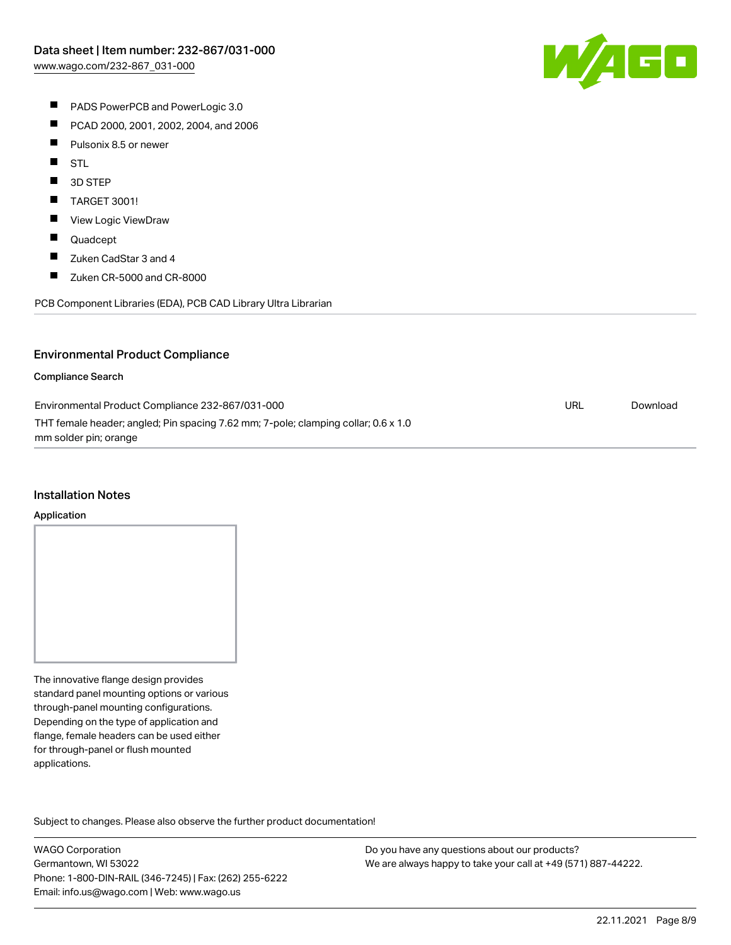

- **PADS PowerPCB and PowerLogic 3.0**
- $\blacksquare$ PCAD 2000, 2001, 2002, 2004, and 2006
- $\blacksquare$ Pulsonix 8.5 or newer
- $\blacksquare$ STL
- $\blacksquare$ 3D STEP
- $\blacksquare$ TARGET 3001!
- $\blacksquare$ View Logic ViewDraw
- $\blacksquare$ Quadcept
- $\blacksquare$ Zuken CadStar 3 and 4
- $\blacksquare$ Zuken CR-5000 and CR-8000

PCB Component Libraries (EDA), PCB CAD Library Ultra Librarian

## Environmental Product Compliance

#### Compliance Search

| Environmental Product Compliance 232-867/031-000                                   | URL | Download |
|------------------------------------------------------------------------------------|-----|----------|
| THT female header; angled; Pin spacing 7.62 mm; 7-pole; clamping collar; 0.6 x 1.0 |     |          |
| mm solder pin; orange                                                              |     |          |

#### Installation Notes

#### Application

The innovative flange design provides standard panel mounting options or various through-panel mounting configurations. Depending on the type of application and flange, female headers can be used either for through-panel or flush mounted applications.

Subject to changes. Please also observe the further product documentation! Product family

WAGO Corporation Germantown, WI 53022 Phone: 1-800-DIN-RAIL (346-7245) | Fax: (262) 255-6222 Email: info.us@wago.com | Web: www.wago.us